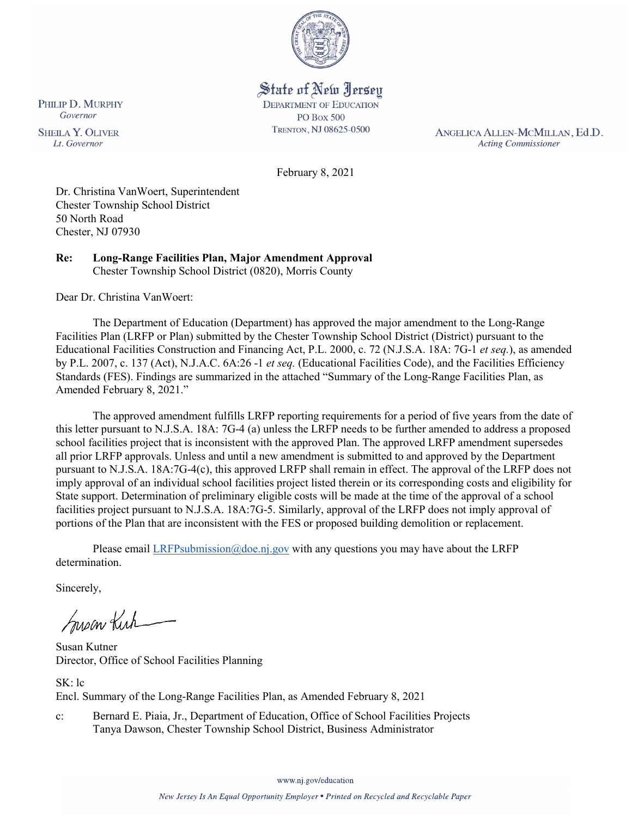

# State of New Jersey

**DEPARTMENT OF EDUCATION PO Box 500** TRENTON, NJ 08625-0500

ANGELICA ALLEN-MCMILLAN, Ed.D. **Acting Commissioner** 

February 8, 2021

Dr. Christina VanWoert, Superintendent Chester Township School District 50 North Road Chester, NJ 07930

**Re: Long-Range Facilities Plan, Major Amendment Approval**  Chester Township School District (0820), Morris County

Dear Dr. Christina VanWoert:

PHILIP D. MURPHY

Governor

**SHEILA Y. OLIVER** 

Lt. Governor

The Department of Education (Department) has approved the major amendment to the Long-Range Facilities Plan (LRFP or Plan) submitted by the Chester Township School District (District) pursuant to the Educational Facilities Construction and Financing Act, P.L. 2000, c. 72 (N.J.S.A. 18A: 7G-1 *et seq.*), as amended by P.L. 2007, c. 137 (Act), N.J.A.C. 6A:26 -1 *et seq.* (Educational Facilities Code), and the Facilities Efficiency Standards (FES). Findings are summarized in the attached "Summary of the Long-Range Facilities Plan, as Amended February 8, 2021."

The approved amendment fulfills LRFP reporting requirements for a period of five years from the date of this letter pursuant to N.J.S.A. 18A: 7G-4 (a) unless the LRFP needs to be further amended to address a proposed school facilities project that is inconsistent with the approved Plan. The approved LRFP amendment supersedes all prior LRFP approvals. Unless and until a new amendment is submitted to and approved by the Department pursuant to N.J.S.A. 18A:7G-4(c), this approved LRFP shall remain in effect. The approval of the LRFP does not imply approval of an individual school facilities project listed therein or its corresponding costs and eligibility for State support. Determination of preliminary eligible costs will be made at the time of the approval of a school facilities project pursuant to N.J.S.A. 18A:7G-5. Similarly, approval of the LRFP does not imply approval of portions of the Plan that are inconsistent with the FES or proposed building demolition or replacement.

Please email [LRFPsubmission@doe.nj.gov](mailto:LRFPsubmission@doe.nj.gov) with any questions you may have about the LRFP determination.

Sincerely,

Susan Kich

Susan Kutner Director, Office of School Facilities Planning

SK: lc Encl. Summary of the Long-Range Facilities Plan, as Amended February 8, 2021

c: Bernard E. Piaia, Jr., Department of Education, Office of School Facilities Projects Tanya Dawson, Chester Township School District, Business Administrator

www.nj.gov/education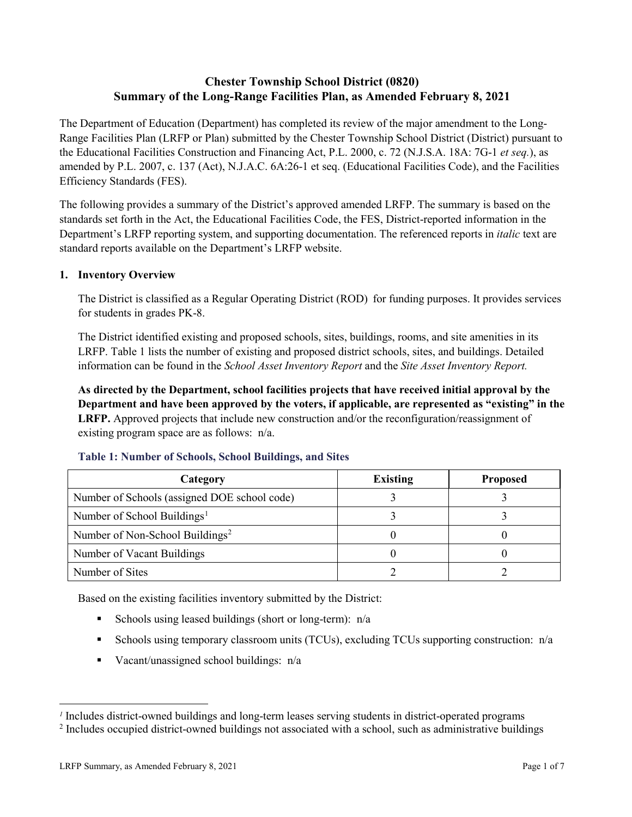## **Chester Township School District (0820) Summary of the Long-Range Facilities Plan, as Amended February 8, 2021**

The Department of Education (Department) has completed its review of the major amendment to the Long-Range Facilities Plan (LRFP or Plan) submitted by the Chester Township School District (District) pursuant to the Educational Facilities Construction and Financing Act, P.L. 2000, c. 72 (N.J.S.A. 18A: 7G-1 *et seq.*), as amended by P.L. 2007, c. 137 (Act), N.J.A.C. 6A:26-1 et seq. (Educational Facilities Code), and the Facilities Efficiency Standards (FES).

The following provides a summary of the District's approved amended LRFP. The summary is based on the standards set forth in the Act, the Educational Facilities Code, the FES, District-reported information in the Department's LRFP reporting system, and supporting documentation. The referenced reports in *italic* text are standard reports available on the Department's LRFP website.

## **1. Inventory Overview**

The District is classified as a Regular Operating District (ROD) for funding purposes. It provides services for students in grades PK-8.

The District identified existing and proposed schools, sites, buildings, rooms, and site amenities in its LRFP. Table 1 lists the number of existing and proposed district schools, sites, and buildings. Detailed information can be found in the *School Asset Inventory Report* and the *Site Asset Inventory Report.*

**As directed by the Department, school facilities projects that have received initial approval by the Department and have been approved by the voters, if applicable, are represented as "existing" in the LRFP.** Approved projects that include new construction and/or the reconfiguration/reassignment of existing program space are as follows: n/a.

| Category                                     | <b>Existing</b> | <b>Proposed</b> |
|----------------------------------------------|-----------------|-----------------|
| Number of Schools (assigned DOE school code) |                 |                 |
| Number of School Buildings <sup>1</sup>      |                 |                 |
| Number of Non-School Buildings <sup>2</sup>  |                 |                 |
| Number of Vacant Buildings                   |                 |                 |
| Number of Sites                              |                 |                 |

#### **Table 1: Number of Schools, School Buildings, and Sites**

Based on the existing facilities inventory submitted by the District:

- Schools using leased buildings (short or long-term):  $n/a$
- Schools using temporary classroom units (TCUs), excluding TCUs supporting construction:  $n/a$
- Vacant/unassigned school buildings:  $n/a$

 $\overline{a}$ 

<span id="page-1-1"></span><span id="page-1-0"></span>*<sup>1</sup>* Includes district-owned buildings and long-term leases serving students in district-operated programs

<sup>&</sup>lt;sup>2</sup> Includes occupied district-owned buildings not associated with a school, such as administrative buildings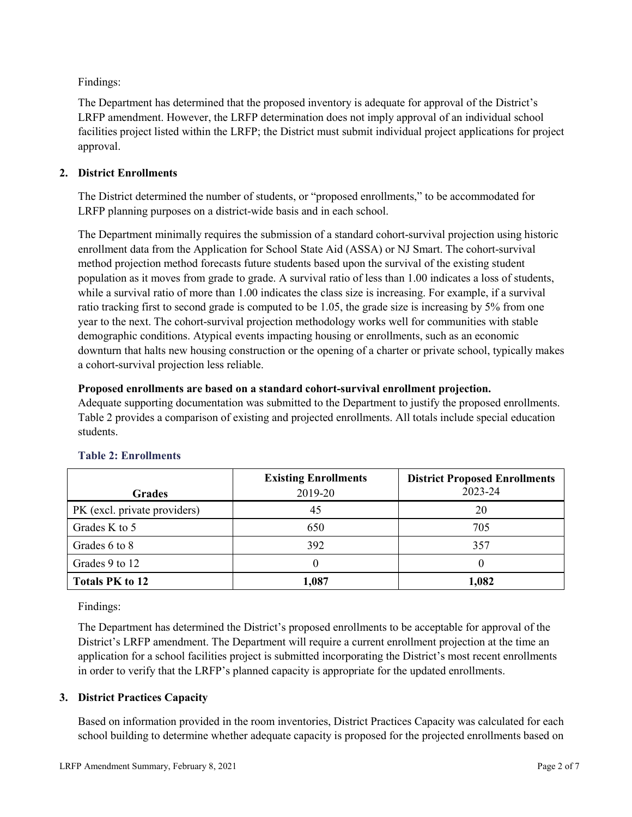Findings:

The Department has determined that the proposed inventory is adequate for approval of the District's LRFP amendment. However, the LRFP determination does not imply approval of an individual school facilities project listed within the LRFP; the District must submit individual project applications for project approval.

## **2. District Enrollments**

The District determined the number of students, or "proposed enrollments," to be accommodated for LRFP planning purposes on a district-wide basis and in each school.

The Department minimally requires the submission of a standard cohort-survival projection using historic enrollment data from the Application for School State Aid (ASSA) or NJ Smart. The cohort-survival method projection method forecasts future students based upon the survival of the existing student population as it moves from grade to grade. A survival ratio of less than 1.00 indicates a loss of students, while a survival ratio of more than 1.00 indicates the class size is increasing. For example, if a survival ratio tracking first to second grade is computed to be 1.05, the grade size is increasing by 5% from one year to the next. The cohort-survival projection methodology works well for communities with stable demographic conditions. Atypical events impacting housing or enrollments, such as an economic downturn that halts new housing construction or the opening of a charter or private school, typically makes a cohort-survival projection less reliable.

## **Proposed enrollments are based on a standard cohort-survival enrollment projection.**

Adequate supporting documentation was submitted to the Department to justify the proposed enrollments. Table 2 provides a comparison of existing and projected enrollments. All totals include special education students.

|                              | <b>Existing Enrollments</b> | <b>District Proposed Enrollments</b> |
|------------------------------|-----------------------------|--------------------------------------|
| <b>Grades</b>                | 2019-20                     | 2023-24                              |
| PK (excl. private providers) | 45                          | 20                                   |
| Grades K to 5                | 650                         | 705                                  |
| Grades 6 to 8                | 392                         | 357                                  |
| Grades 9 to 12               |                             |                                      |
| <b>Totals PK to 12</b>       | 1,087                       | 1,082                                |

# **Table 2: Enrollments**

Findings:

The Department has determined the District's proposed enrollments to be acceptable for approval of the District's LRFP amendment. The Department will require a current enrollment projection at the time an application for a school facilities project is submitted incorporating the District's most recent enrollments in order to verify that the LRFP's planned capacity is appropriate for the updated enrollments.

# **3. District Practices Capacity**

Based on information provided in the room inventories, District Practices Capacity was calculated for each school building to determine whether adequate capacity is proposed for the projected enrollments based on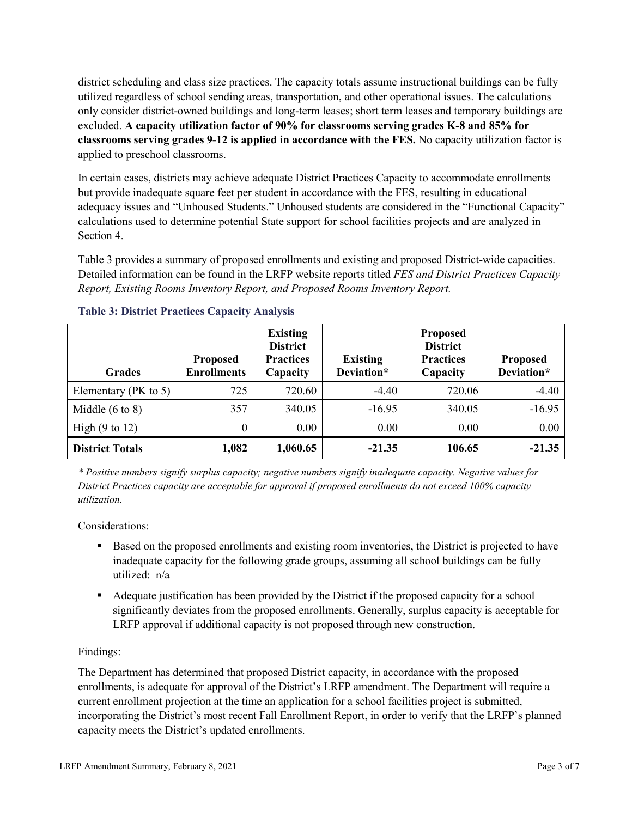district scheduling and class size practices. The capacity totals assume instructional buildings can be fully utilized regardless of school sending areas, transportation, and other operational issues. The calculations only consider district-owned buildings and long-term leases; short term leases and temporary buildings are excluded. **A capacity utilization factor of 90% for classrooms serving grades K-8 and 85% for classrooms serving grades 9-12 is applied in accordance with the FES.** No capacity utilization factor is applied to preschool classrooms.

In certain cases, districts may achieve adequate District Practices Capacity to accommodate enrollments but provide inadequate square feet per student in accordance with the FES, resulting in educational adequacy issues and "Unhoused Students." Unhoused students are considered in the "Functional Capacity" calculations used to determine potential State support for school facilities projects and are analyzed in Section 4.

Table 3 provides a summary of proposed enrollments and existing and proposed District-wide capacities. Detailed information can be found in the LRFP website reports titled *FES and District Practices Capacity Report, Existing Rooms Inventory Report, and Proposed Rooms Inventory Report.*

| <b>Grades</b>              | <b>Proposed</b><br><b>Enrollments</b> | <b>Existing</b><br><b>District</b><br><b>Practices</b><br>Capacity | <b>Existing</b><br>Deviation* | <b>Proposed</b><br><b>District</b><br><b>Practices</b><br>Capacity | <b>Proposed</b><br>Deviation* |
|----------------------------|---------------------------------------|--------------------------------------------------------------------|-------------------------------|--------------------------------------------------------------------|-------------------------------|
| Elementary ( $PK$ to 5)    | 725                                   | 720.60                                                             | $-4.40$                       | 720.06                                                             | $-4.40$                       |
| Middle $(6 \text{ to } 8)$ | 357                                   | 340.05                                                             | $-16.95$                      | 340.05                                                             | $-16.95$                      |
| High $(9 \text{ to } 12)$  | 0                                     | 0.00                                                               | 0.00                          | 0.00                                                               | 0.00                          |
| <b>District Totals</b>     | 1,082                                 | 1,060.65                                                           | $-21.35$                      | 106.65                                                             | $-21.35$                      |

## **Table 3: District Practices Capacity Analysis**

*\* Positive numbers signify surplus capacity; negative numbers signify inadequate capacity. Negative values for District Practices capacity are acceptable for approval if proposed enrollments do not exceed 100% capacity utilization.*

Considerations:

- **Based on the proposed enrollments and existing room inventories, the District is projected to have** inadequate capacity for the following grade groups, assuming all school buildings can be fully utilized: n/a
- Adequate justification has been provided by the District if the proposed capacity for a school significantly deviates from the proposed enrollments. Generally, surplus capacity is acceptable for LRFP approval if additional capacity is not proposed through new construction.

## Findings:

The Department has determined that proposed District capacity, in accordance with the proposed enrollments, is adequate for approval of the District's LRFP amendment. The Department will require a current enrollment projection at the time an application for a school facilities project is submitted, incorporating the District's most recent Fall Enrollment Report, in order to verify that the LRFP's planned capacity meets the District's updated enrollments.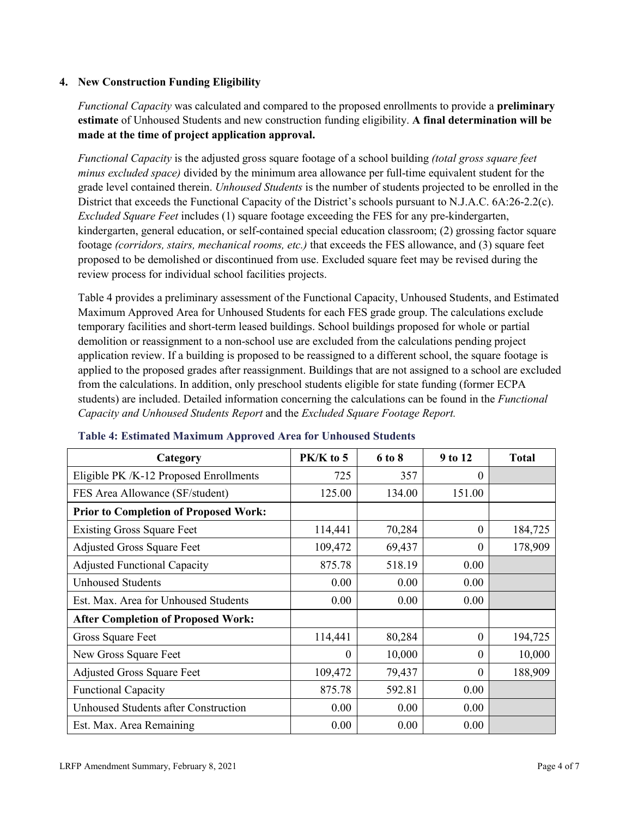## **4. New Construction Funding Eligibility**

*Functional Capacity* was calculated and compared to the proposed enrollments to provide a **preliminary estimate** of Unhoused Students and new construction funding eligibility. **A final determination will be made at the time of project application approval.**

*Functional Capacity* is the adjusted gross square footage of a school building *(total gross square feet minus excluded space)* divided by the minimum area allowance per full-time equivalent student for the grade level contained therein. *Unhoused Students* is the number of students projected to be enrolled in the District that exceeds the Functional Capacity of the District's schools pursuant to N.J.A.C. 6A:26-2.2(c). *Excluded Square Feet* includes (1) square footage exceeding the FES for any pre-kindergarten, kindergarten, general education, or self-contained special education classroom; (2) grossing factor square footage *(corridors, stairs, mechanical rooms, etc.)* that exceeds the FES allowance, and (3) square feet proposed to be demolished or discontinued from use. Excluded square feet may be revised during the review process for individual school facilities projects.

Table 4 provides a preliminary assessment of the Functional Capacity, Unhoused Students, and Estimated Maximum Approved Area for Unhoused Students for each FES grade group. The calculations exclude temporary facilities and short-term leased buildings. School buildings proposed for whole or partial demolition or reassignment to a non-school use are excluded from the calculations pending project application review. If a building is proposed to be reassigned to a different school, the square footage is applied to the proposed grades after reassignment. Buildings that are not assigned to a school are excluded from the calculations. In addition, only preschool students eligible for state funding (former ECPA students) are included. Detailed information concerning the calculations can be found in the *Functional Capacity and Unhoused Students Report* and the *Excluded Square Footage Report.*

| Category                                     | PK/K to 5 | 6 to 8 | 9 to 12  | <b>Total</b> |
|----------------------------------------------|-----------|--------|----------|--------------|
| Eligible PK /K-12 Proposed Enrollments       | 725       | 357    | 0        |              |
| FES Area Allowance (SF/student)              | 125.00    | 134.00 | 151.00   |              |
| <b>Prior to Completion of Proposed Work:</b> |           |        |          |              |
| <b>Existing Gross Square Feet</b>            | 114,441   | 70,284 | $\theta$ | 184,725      |
| <b>Adjusted Gross Square Feet</b>            | 109,472   | 69,437 | $\theta$ | 178,909      |
| <b>Adjusted Functional Capacity</b>          | 875.78    | 518.19 | 0.00     |              |
| <b>Unhoused Students</b>                     | 0.00      | 0.00   | 0.00     |              |
| Est. Max. Area for Unhoused Students         | 0.00      | 0.00   | 0.00     |              |
| <b>After Completion of Proposed Work:</b>    |           |        |          |              |
| Gross Square Feet                            | 114,441   | 80,284 | $\theta$ | 194,725      |
| New Gross Square Feet                        | $\theta$  | 10,000 | $\theta$ | 10,000       |
| <b>Adjusted Gross Square Feet</b>            | 109,472   | 79,437 | $\Omega$ | 188,909      |
| <b>Functional Capacity</b>                   | 875.78    | 592.81 | 0.00     |              |
| Unhoused Students after Construction         | 0.00      | 0.00   | 0.00     |              |
| Est. Max. Area Remaining                     | 0.00      | 0.00   | 0.00     |              |

#### **Table 4: Estimated Maximum Approved Area for Unhoused Students**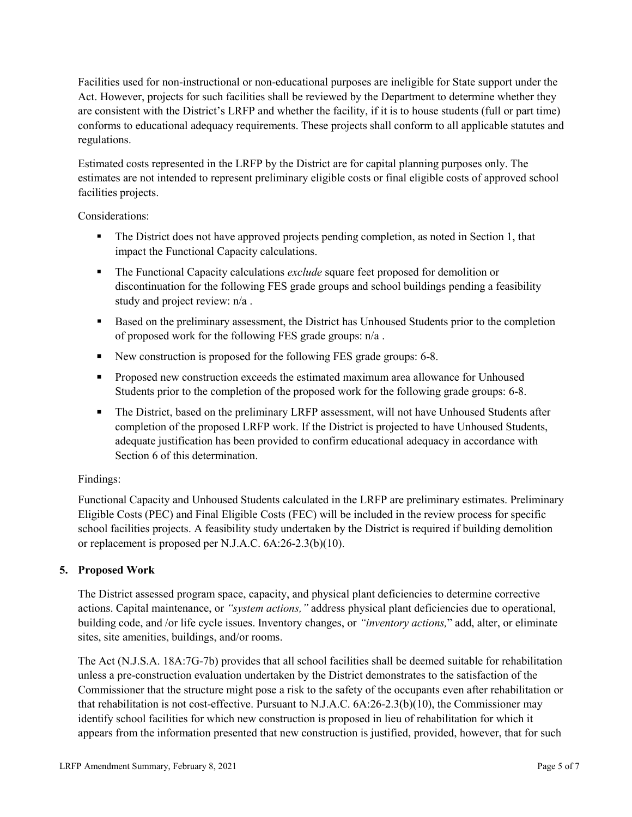Facilities used for non-instructional or non-educational purposes are ineligible for State support under the Act. However, projects for such facilities shall be reviewed by the Department to determine whether they are consistent with the District's LRFP and whether the facility, if it is to house students (full or part time) conforms to educational adequacy requirements. These projects shall conform to all applicable statutes and regulations.

Estimated costs represented in the LRFP by the District are for capital planning purposes only. The estimates are not intended to represent preliminary eligible costs or final eligible costs of approved school facilities projects.

Considerations:

- The District does not have approved projects pending completion, as noted in Section 1, that impact the Functional Capacity calculations.
- **The Functional Capacity calculations** *exclude* square feet proposed for demolition or discontinuation for the following FES grade groups and school buildings pending a feasibility study and project review: n/a .
- Based on the preliminary assessment, the District has Unhoused Students prior to the completion of proposed work for the following FES grade groups: n/a .
- New construction is proposed for the following FES grade groups: 6-8.
- Proposed new construction exceeds the estimated maximum area allowance for Unhoused Students prior to the completion of the proposed work for the following grade groups: 6-8.
- The District, based on the preliminary LRFP assessment, will not have Unhoused Students after completion of the proposed LRFP work. If the District is projected to have Unhoused Students, adequate justification has been provided to confirm educational adequacy in accordance with Section 6 of this determination.

## Findings:

Functional Capacity and Unhoused Students calculated in the LRFP are preliminary estimates. Preliminary Eligible Costs (PEC) and Final Eligible Costs (FEC) will be included in the review process for specific school facilities projects. A feasibility study undertaken by the District is required if building demolition or replacement is proposed per N.J.A.C. 6A:26-2.3(b)(10).

## **5. Proposed Work**

The District assessed program space, capacity, and physical plant deficiencies to determine corrective actions. Capital maintenance, or *"system actions,"* address physical plant deficiencies due to operational, building code, and /or life cycle issues. Inventory changes, or *"inventory actions,*" add, alter, or eliminate sites, site amenities, buildings, and/or rooms.

The Act (N.J.S.A. 18A:7G-7b) provides that all school facilities shall be deemed suitable for rehabilitation unless a pre-construction evaluation undertaken by the District demonstrates to the satisfaction of the Commissioner that the structure might pose a risk to the safety of the occupants even after rehabilitation or that rehabilitation is not cost-effective. Pursuant to N.J.A.C. 6A:26-2.3(b)(10), the Commissioner may identify school facilities for which new construction is proposed in lieu of rehabilitation for which it appears from the information presented that new construction is justified, provided, however, that for such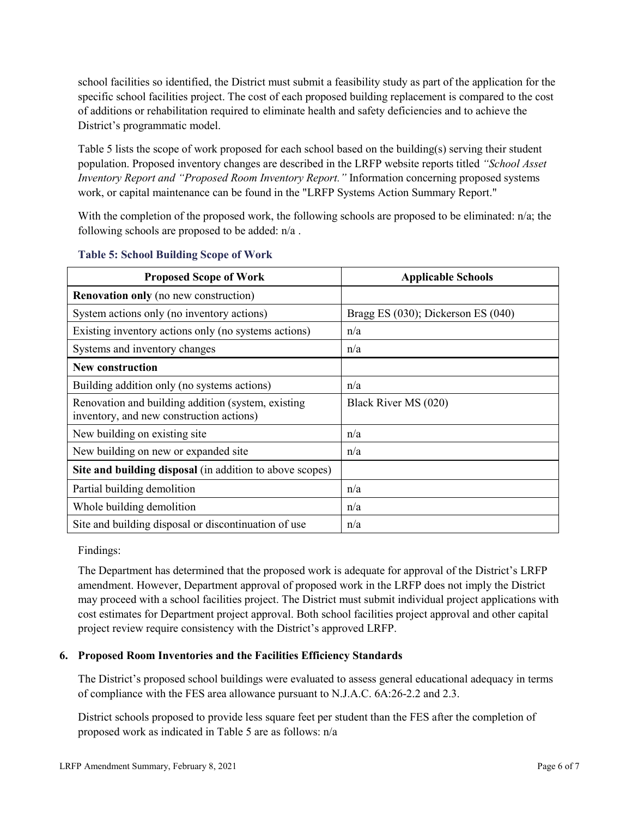school facilities so identified, the District must submit a feasibility study as part of the application for the specific school facilities project. The cost of each proposed building replacement is compared to the cost of additions or rehabilitation required to eliminate health and safety deficiencies and to achieve the District's programmatic model.

Table 5 lists the scope of work proposed for each school based on the building(s) serving their student population. Proposed inventory changes are described in the LRFP website reports titled *"School Asset Inventory Report and "Proposed Room Inventory Report."* Information concerning proposed systems work, or capital maintenance can be found in the "LRFP Systems Action Summary Report."

With the completion of the proposed work, the following schools are proposed to be eliminated: n/a; the following schools are proposed to be added: n/a .

| <b>Proposed Scope of Work</b>                                                                  | <b>Applicable Schools</b>          |
|------------------------------------------------------------------------------------------------|------------------------------------|
| <b>Renovation only</b> (no new construction)                                                   |                                    |
| System actions only (no inventory actions)                                                     | Bragg ES (030); Dickerson ES (040) |
| Existing inventory actions only (no systems actions)                                           | n/a                                |
| Systems and inventory changes                                                                  | n/a                                |
| <b>New construction</b>                                                                        |                                    |
| Building addition only (no systems actions)                                                    | n/a                                |
| Renovation and building addition (system, existing<br>inventory, and new construction actions) | Black River MS (020)               |
| New building on existing site                                                                  | n/a                                |
| New building on new or expanded site                                                           | n/a                                |
| Site and building disposal (in addition to above scopes)                                       |                                    |
| Partial building demolition                                                                    | n/a                                |
| Whole building demolition                                                                      | n/a                                |
| Site and building disposal or discontinuation of use                                           | n/a                                |

#### **Table 5: School Building Scope of Work**

Findings:

The Department has determined that the proposed work is adequate for approval of the District's LRFP amendment. However, Department approval of proposed work in the LRFP does not imply the District may proceed with a school facilities project. The District must submit individual project applications with cost estimates for Department project approval. Both school facilities project approval and other capital project review require consistency with the District's approved LRFP.

## **6. Proposed Room Inventories and the Facilities Efficiency Standards**

The District's proposed school buildings were evaluated to assess general educational adequacy in terms of compliance with the FES area allowance pursuant to N.J.A.C. 6A:26-2.2 and 2.3.

District schools proposed to provide less square feet per student than the FES after the completion of proposed work as indicated in Table 5 are as follows: n/a